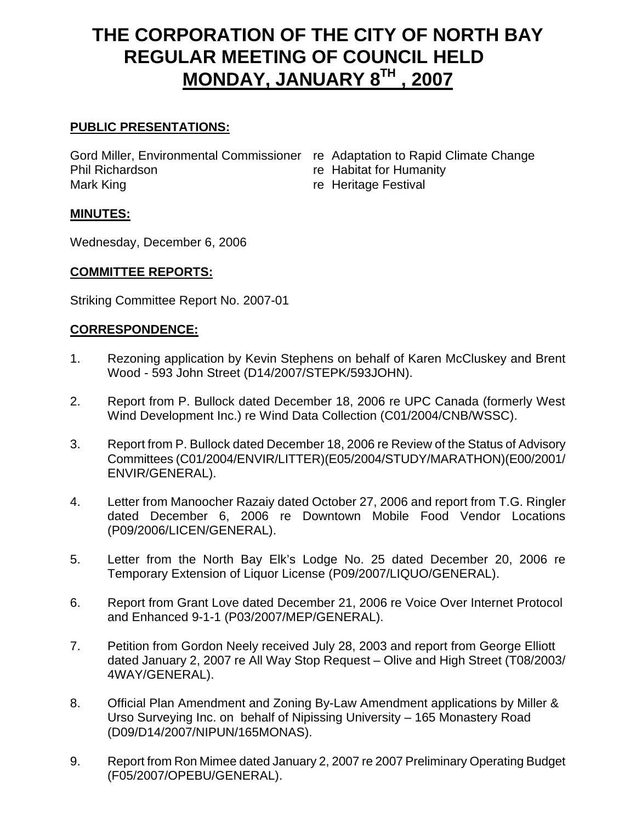# **THE CORPORATION OF THE CITY OF NORTH BAY REGULAR MEETING OF COUNCIL HELD MONDAY, JANUARY 8TH , 2007**

# **PUBLIC PRESENTATIONS:**

Gord Miller, Environmental Commissioner re Adaptation to Rapid Climate Change Phil Richardson **re** Habitat for Humanity Mark King **The Contract Contract Contract Contract Contract Contract Contract Contract Contract Contract Contract Contract Contract Contract Contract Contract Contract Contract Contract Contract Contract Contract Contract** 

- 
- 

#### **MINUTES:**

Wednesday, December 6, 2006

#### **COMMITTEE REPORTS:**

Striking Committee Report No. 2007-01

## **CORRESPONDENCE:**

- 1. Rezoning application by Kevin Stephens on behalf of Karen McCluskey and Brent Wood - 593 John Street (D14/2007/STEPK/593JOHN).
- 2. Report from P. Bullock dated December 18, 2006 re UPC Canada (formerly West Wind Development Inc.) re Wind Data Collection (C01/2004/CNB/WSSC).
- 3. Report from P. Bullock dated December 18, 2006 re Review of the Status of Advisory Committees (C01/2004/ENVIR/LITTER)(E05/2004/STUDY/MARATHON)(E00/2001/ ENVIR/GENERAL).
- 4. Letter from Manoocher Razaiy dated October 27, 2006 and report from T.G. Ringler dated December 6, 2006 re Downtown Mobile Food Vendor Locations (P09/2006/LICEN/GENERAL).
- 5. Letter from the North Bay Elk's Lodge No. 25 dated December 20, 2006 re Temporary Extension of Liquor License (P09/2007/LIQUO/GENERAL).
- 6. Report from Grant Love dated December 21, 2006 re Voice Over Internet Protocol and Enhanced 9-1-1 (P03/2007/MEP/GENERAL).
- 7. Petition from Gordon Neely received July 28, 2003 and report from George Elliott dated January 2, 2007 re All Way Stop Request – Olive and High Street (T08/2003/ 4WAY/GENERAL).
- 8. Official Plan Amendment and Zoning By-Law Amendment applications by Miller & Urso Surveying Inc. on behalf of Nipissing University – 165 Monastery Road (D09/D14/2007/NIPUN/165MONAS).
- 9. Report from Ron Mimee dated January 2, 2007 re 2007 Preliminary Operating Budget (F05/2007/OPEBU/GENERAL).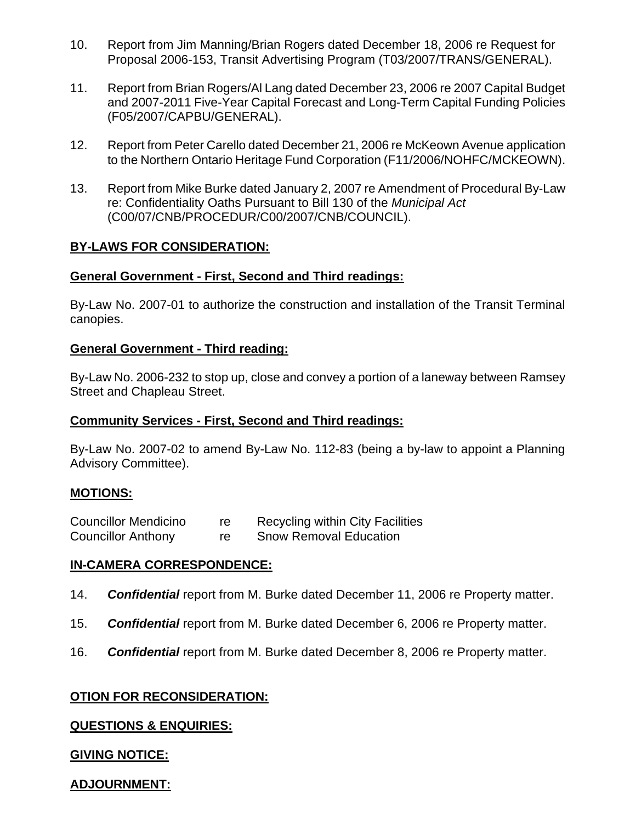- 10. Report from Jim Manning/Brian Rogers dated December 18, 2006 re Request for Proposal 2006-153, Transit Advertising Program (T03/2007/TRANS/GENERAL).
- 11. Report from Brian Rogers/Al Lang dated December 23, 2006 re 2007 Capital Budget and 2007-2011 Five-Year Capital Forecast and Long-Term Capital Funding Policies (F05/2007/CAPBU/GENERAL).
- 12. Report from Peter Carello dated December 21, 2006 re McKeown Avenue application to the Northern Ontario Heritage Fund Corporation (F11/2006/NOHFC/MCKEOWN).
- 13. Report from Mike Burke dated January 2, 2007 re Amendment of Procedural By-Law re: Confidentiality Oaths Pursuant to Bill 130 of the *Municipal Act* (C00/07/CNB/PROCEDUR/C00/2007/CNB/COUNCIL).

## **BY-LAWS FOR CONSIDERATION:**

#### **General Government - First, Second and Third readings:**

By-Law No. 2007-01 to authorize the construction and installation of the Transit Terminal canopies.

#### **General Government - Third reading:**

By-Law No. 2006-232 to stop up, close and convey a portion of a laneway between Ramsey Street and Chapleau Street.

#### **Community Services - First, Second and Third readings:**

By-Law No. 2007-02 to amend By-Law No. 112-83 (being a by-law to appoint a Planning Advisory Committee).

#### **MOTIONS:**

| <b>Councillor Mendicino</b> |    | <b>Recycling within City Facilities</b> |
|-----------------------------|----|-----------------------------------------|
| <b>Councillor Anthony</b>   | re | <b>Snow Removal Education</b>           |

#### **IN-CAMERA CORRESPONDENCE:**

- 14. *Confidential* report from M. Burke dated December 11, 2006 re Property matter.
- 15. *Confidential* report from M. Burke dated December 6, 2006 re Property matter.
- 16. *Confidential* report from M. Burke dated December 8, 2006 re Property matter.

#### **OTION FOR RECONSIDERATION:**

#### **QUESTIONS & ENQUIRIES:**

#### **GIVING NOTICE:**

# **ADJOURNMENT:**